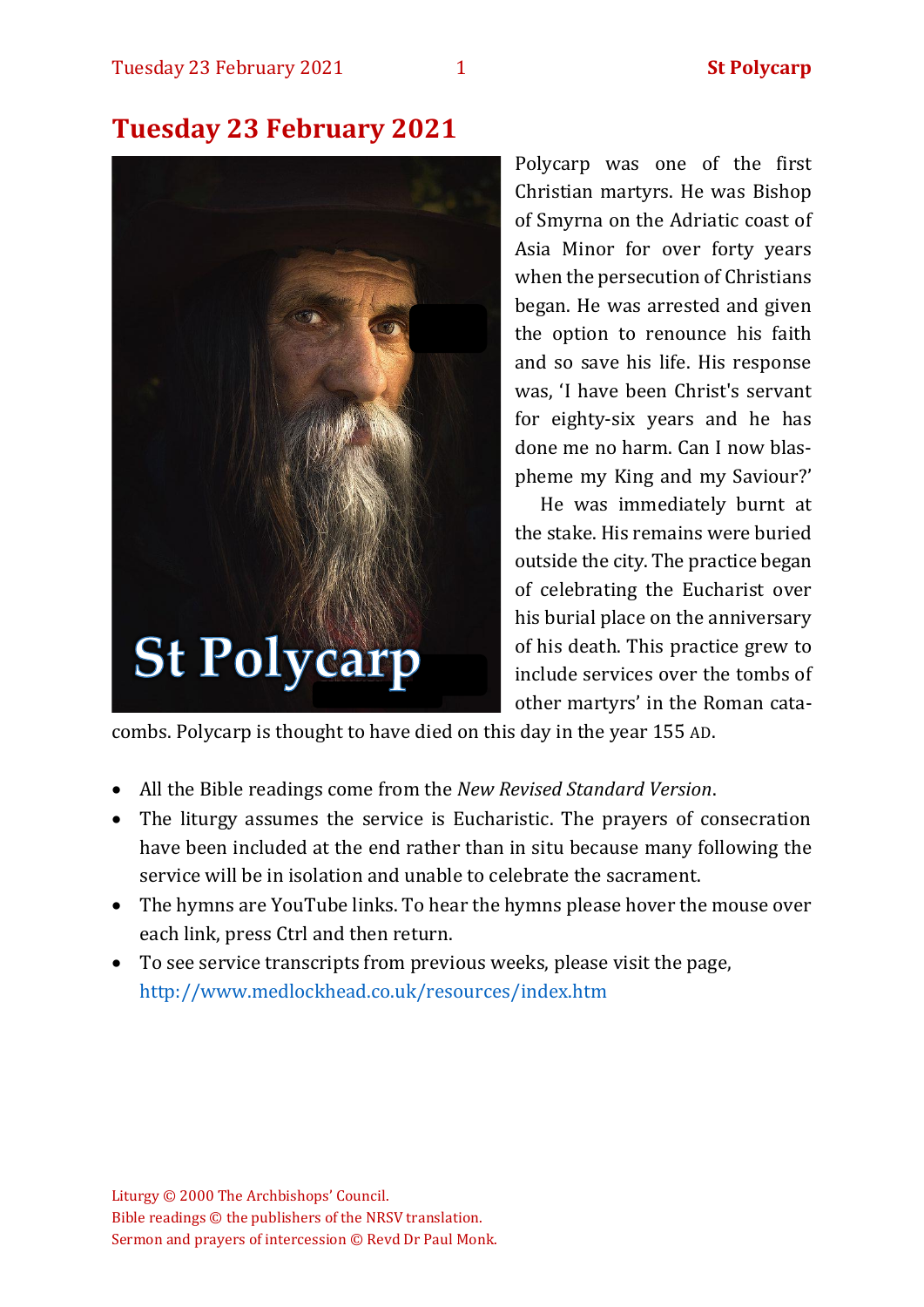# **Tuesday 23 February 2021**



Polycarp was one of the first Christian martyrs. He was Bishop of Smyrna on the Adriatic coast of Asia Minor for over forty years when the persecution of Christians began. He was arrested and given the option to renounce his faith and so save his life. His response was, 'I have been Christ's servant for eighty-six years and he has done me no harm. Can I now blaspheme my King and my Saviour?'

He was immediately burnt at the stake. His remains were buried outside the city. The practice began of celebrating the Eucharist over his burial place on the anniversary of his death. This practice grew to include services over the tombs of other martyrs' in the Roman cata-

combs. Polycarp is thought to have died on this day in the year 155 AD.

- All the Bible readings come from the *New Revised Standard Version*.
- The liturgy assumes the service is Eucharistic. The prayers of consecration have been included at the end rather than in situ because many following the service will be in isolation and unable to celebrate the sacrament.
- The hymns are YouTube links. To hear the hymns please hover the mouse over each link, press Ctrl and then return.
- To see service transcripts from previous weeks, please visit the page, <http://www.medlockhead.co.uk/resources/index.htm>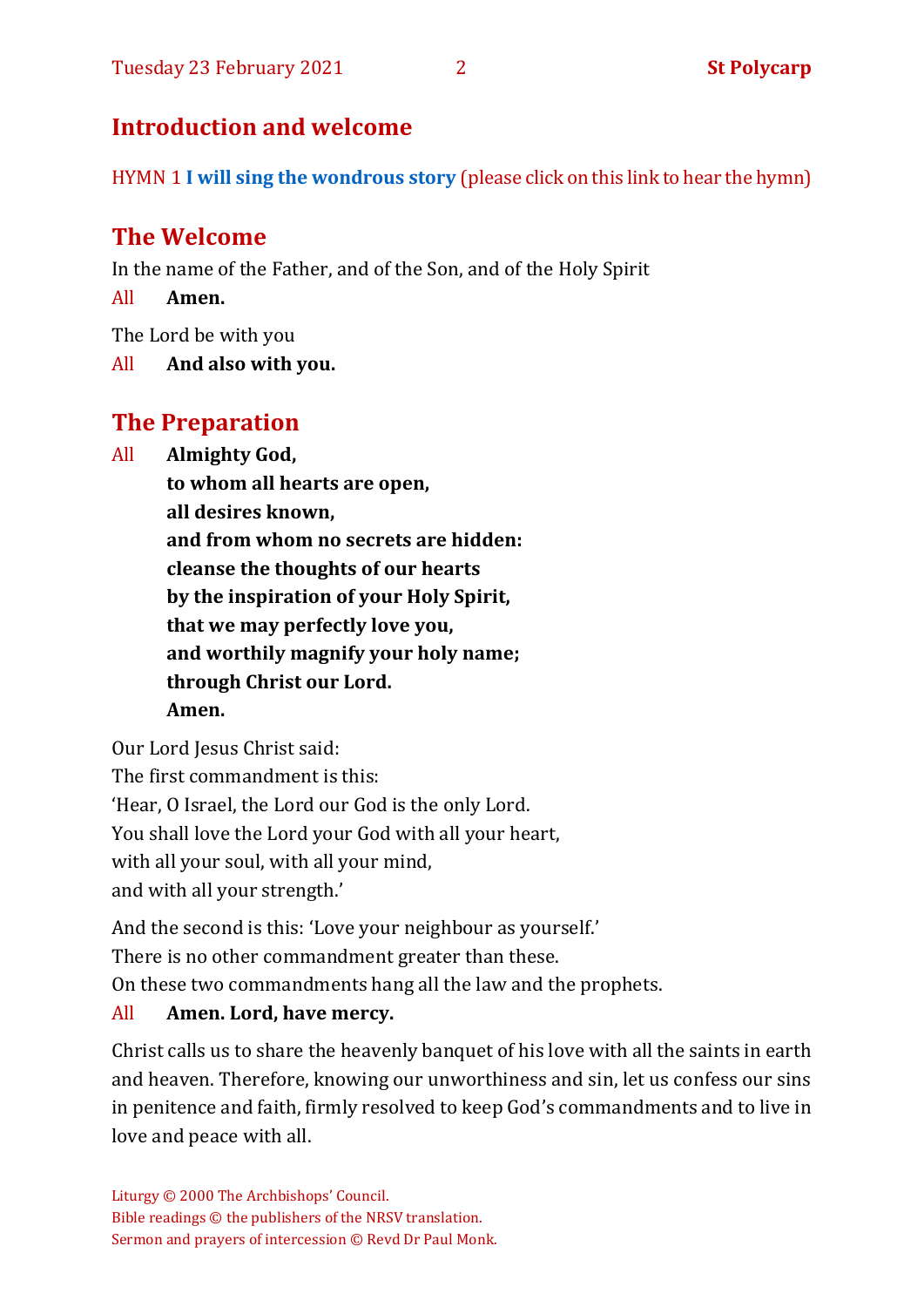# **Introduction and welcome**

HYMN 1 **I [will sing the wondrous story](https://www.youtube.com/watch?v=mv8wo-t6C1I)** (please click on this link to hear the hymn)

# **The Welcome**

In the name of the Father, and of the Son, and of the Holy Spirit

All **Amen.**

The Lord be with you

All **And also with you.**

# **The Preparation**

All **Almighty God,**

**to whom all hearts are open, all desires known, and from whom no secrets are hidden: cleanse the thoughts of our hearts by the inspiration of your Holy Spirit, that we may perfectly love you, and worthily magnify your holy name; through Christ our Lord. Amen.**

Our Lord Jesus Christ said: The first commandment is this: 'Hear, O Israel, the Lord our God is the only Lord. You shall love the Lord your God with all your heart, with all your soul, with all your mind, and with all your strength.'

And the second is this: 'Love your neighbour as yourself.'

There is no other commandment greater than these.

On these two commandments hang all the law and the prophets.

#### All **Amen. Lord, have mercy.**

Christ calls us to share the heavenly banquet of his love with all the saints in earth and heaven. Therefore, knowing our unworthiness and sin, let us confess our sins in penitence and faith, firmly resolved to keep God's commandments and to live in love and peace with all.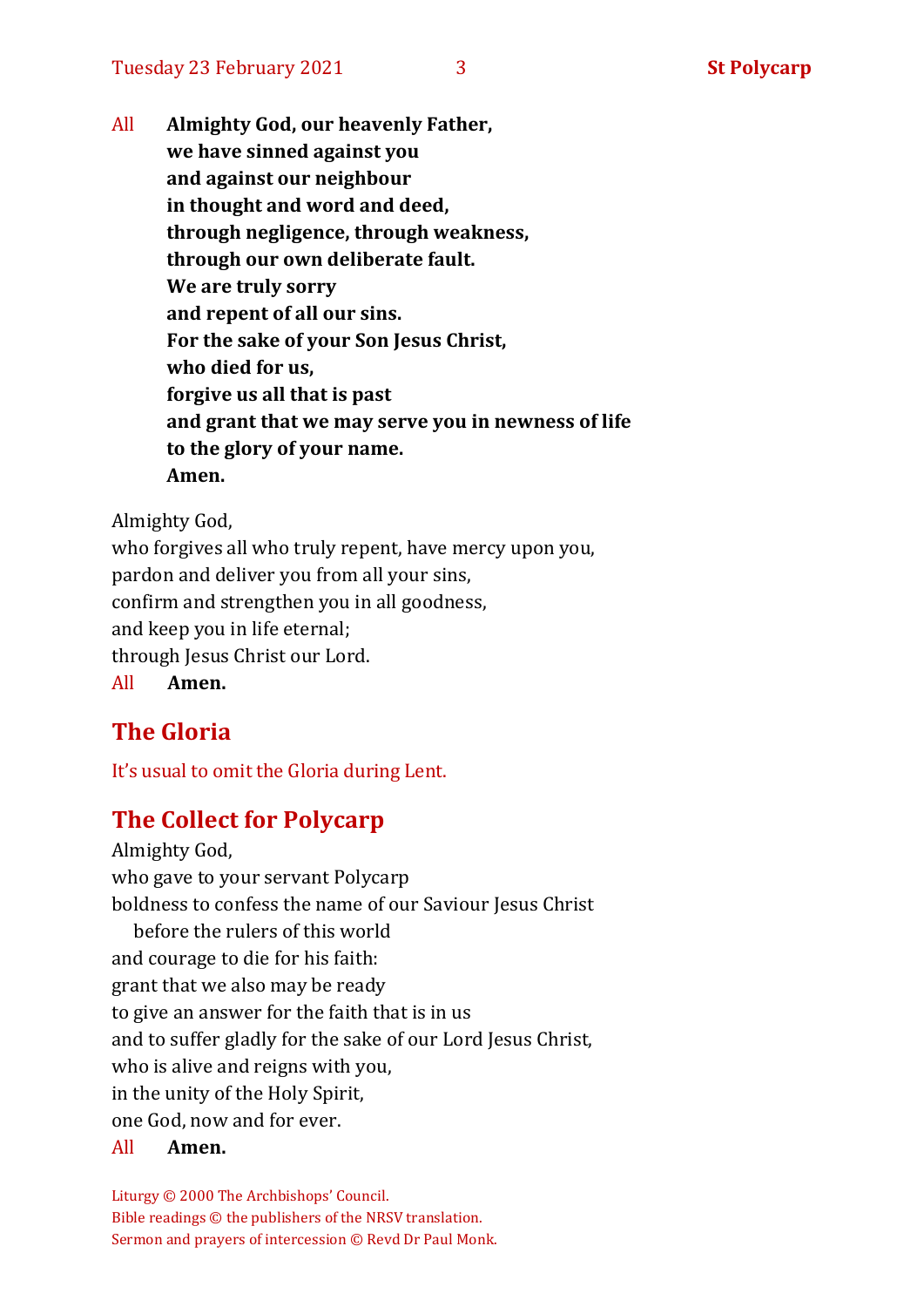All **Almighty God, our heavenly Father, we have sinned against you and against our neighbour in thought and word and deed, through negligence, through weakness, through our own deliberate fault. We are truly sorry and repent of all our sins. For the sake of your Son Jesus Christ, who died for us, forgive us all that is past and grant that we may serve you in newness of life to the glory of your name. Amen.**

Almighty God,

who forgives all who truly repent, have mercy upon you, pardon and deliver you from all your sins, confirm and strengthen you in all goodness, and keep you in life eternal; through Jesus Christ our Lord. All **Amen.**

# **The Gloria**

It's usual to omit the Gloria during Lent.

## **The Collect for Polycarp**

Almighty God, who gave to your servant Polycarp boldness to confess the name of our Saviour Jesus Christ before the rulers of this world and courage to die for his faith: grant that we also may be ready to give an answer for the faith that is in us and to suffer gladly for the sake of our Lord Jesus Christ, who is alive and reigns with you, in the unity of the Holy Spirit, one God, now and for ever.

All **Amen.**

Liturgy © 2000 The Archbishops' Council. Bible readings © the publishers of the NRSV translation. Sermon and prayers of intercession © Revd Dr Paul Monk.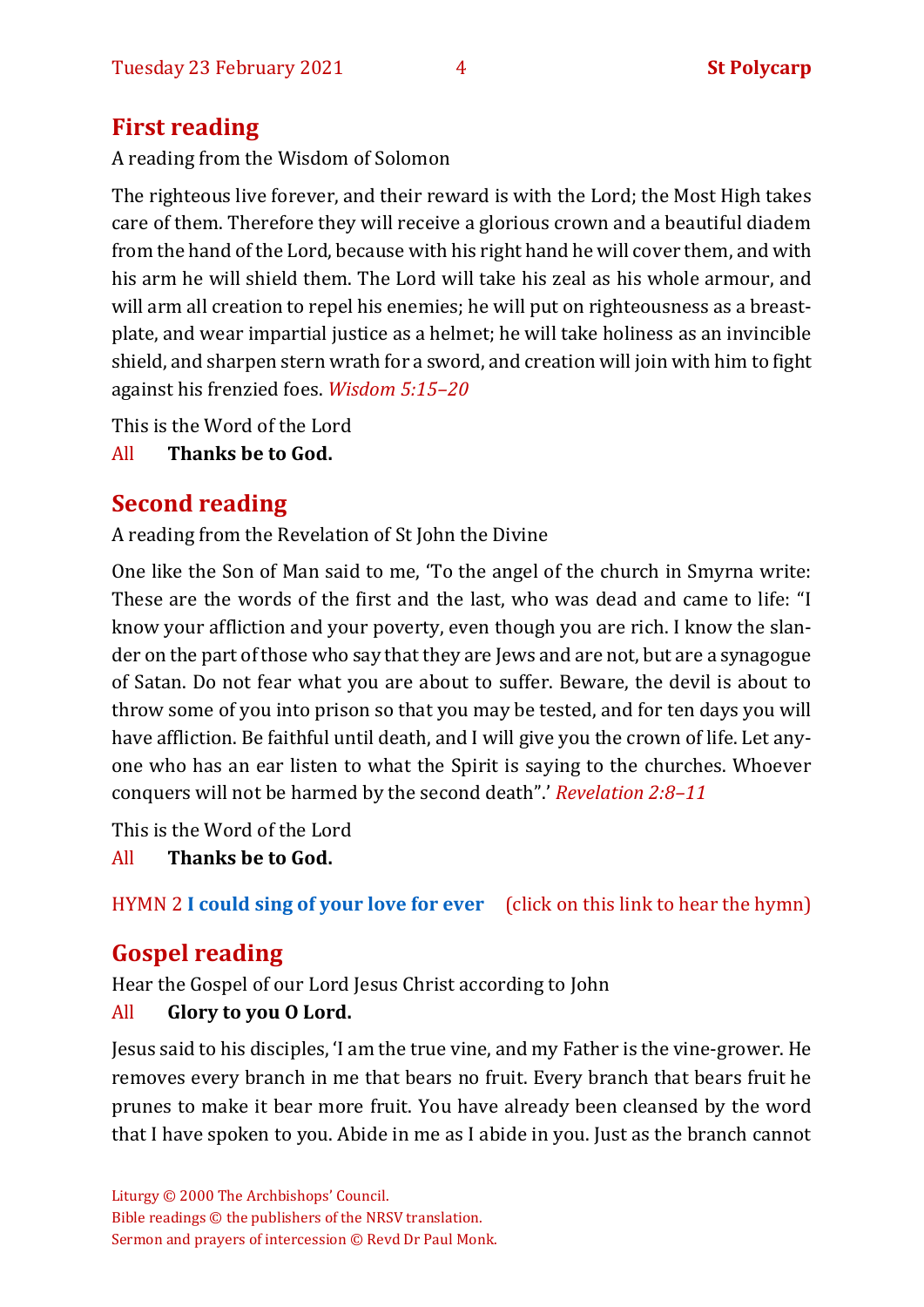# **First reading**

A reading from the Wisdom of Solomon

The righteous live forever, and their reward is with the Lord; the Most High takes care of them. Therefore they will receive a glorious crown and a beautiful diadem from the hand of the Lord, because with his right hand he will cover them, and with his arm he will shield them. The Lord will take his zeal as his whole armour, and will arm all creation to repel his enemies; he will put on righteousness as a breastplate, and wear impartial justice as a helmet; he will take holiness as an invincible shield, and sharpen stern wrath for a sword, and creation will join with him to fight against his frenzied foes. *Wisdom 5:15–20*

This is the Word of the Lord

All **Thanks be to God.**

# **Second reading**

A reading from the Revelation of St John the Divine

One like the Son of Man said to me, 'To the angel of the church in Smyrna write: These are the words of the first and the last, who was dead and came to life: "I know your affliction and your poverty, even though you are rich. I know the slander on the part of those who say that they are Jews and are not, but are a synagogue of Satan. Do not fear what you are about to suffer. Beware, the devil is about to throw some of you into prison so that you may be tested, and for ten days you will have affliction. Be faithful until death, and I will give you the crown of life. Let anyone who has an ear listen to what the Spirit is saying to the churches. Whoever conquers will not be harmed by the second death".' *Revelation 2:8–11*

This is the Word of the Lord

All **Thanks be to God.**

HYMN 2 **I could [sing of your love for ever](https://www.youtube.com/watch?v=zeCwwaciAA8)** (click on this link to hear the hymn)

# **Gospel reading**

Hear the Gospel of our Lord Jesus Christ according to John

#### All **Glory to you O Lord.**

Jesus said to his disciples, 'I am the true vine, and my Father is the vine-grower. He removes every branch in me that bears no fruit. Every branch that bears fruit he prunes to make it bear more fruit. You have already been cleansed by the word that I have spoken to you. Abide in me as I abide in you. Just as the branch cannot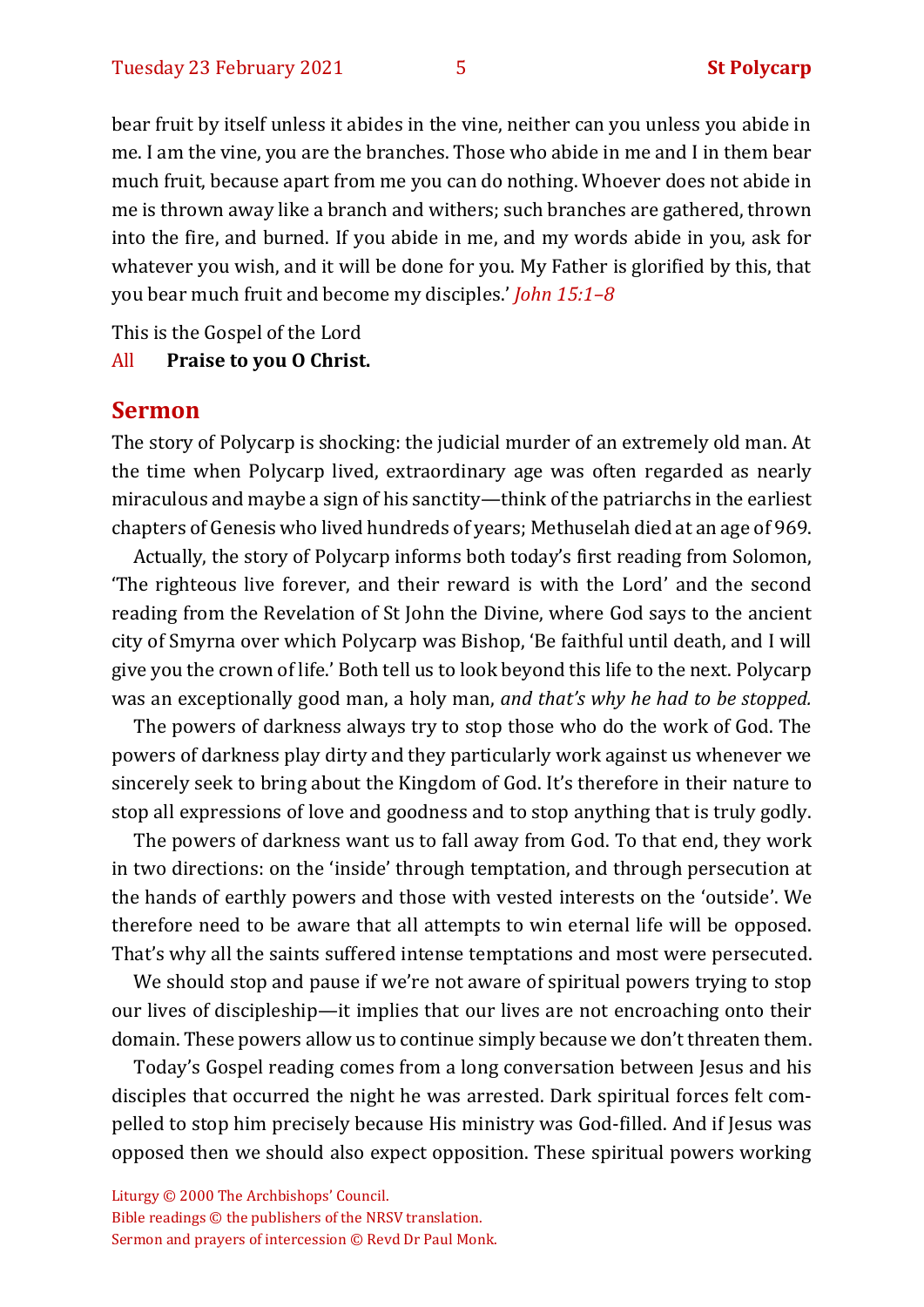bear fruit by itself unless it abides in the vine, neither can you unless you abide in me. I am the vine, you are the branches. Those who abide in me and I in them bear much fruit, because apart from me you can do nothing. Whoever does not abide in me is thrown away like a branch and withers; such branches are gathered, thrown into the fire, and burned. If you abide in me, and my words abide in you, ask for whatever you wish, and it will be done for you. My Father is glorified by this, that you bear much fruit and become my disciples.' *John 15:1–8*

This is the Gospel of the Lord

#### All **Praise to you O Christ.**

#### **Sermon**

The story of Polycarp is shocking: the judicial murder of an extremely old man. At the time when Polycarp lived, extraordinary age was often regarded as nearly miraculous and maybe a sign of his sanctity—think of the patriarchs in the earliest chapters of Genesis who lived hundreds of years; Methuselah died at an age of 969.

Actually, the story of Polycarp informs both today's first reading from Solomon, 'The righteous live forever, and their reward is with the Lord' and the second reading from the Revelation of St John the Divine, where God says to the ancient city of Smyrna over which Polycarp was Bishop, 'Be faithful until death, and I will give you the crown of life.' Both tell us to look beyond this life to the next. Polycarp was an exceptionally good man, a holy man, *and that's why he had to be stopped.* 

The powers of darkness always try to stop those who do the work of God. The powers of darkness play dirty and they particularly work against us whenever we sincerely seek to bring about the Kingdom of God. It's therefore in their nature to stop all expressions of love and goodness and to stop anything that is truly godly.

The powers of darkness want us to fall away from God. To that end, they work in two directions: on the 'inside' through temptation, and through persecution at the hands of earthly powers and those with vested interests on the 'outside'. We therefore need to be aware that all attempts to win eternal life will be opposed. That's why all the saints suffered intense temptations and most were persecuted.

We should stop and pause if we're not aware of spiritual powers trying to stop our lives of discipleship—it implies that our lives are not encroaching onto their domain. These powers allow us to continue simply because we don't threaten them.

Today's Gospel reading comes from a long conversation between Jesus and his disciples that occurred the night he was arrested. Dark spiritual forces felt compelled to stop him precisely because His ministry was God-filled. And if Jesus was opposed then we should also expect opposition. These spiritual powers working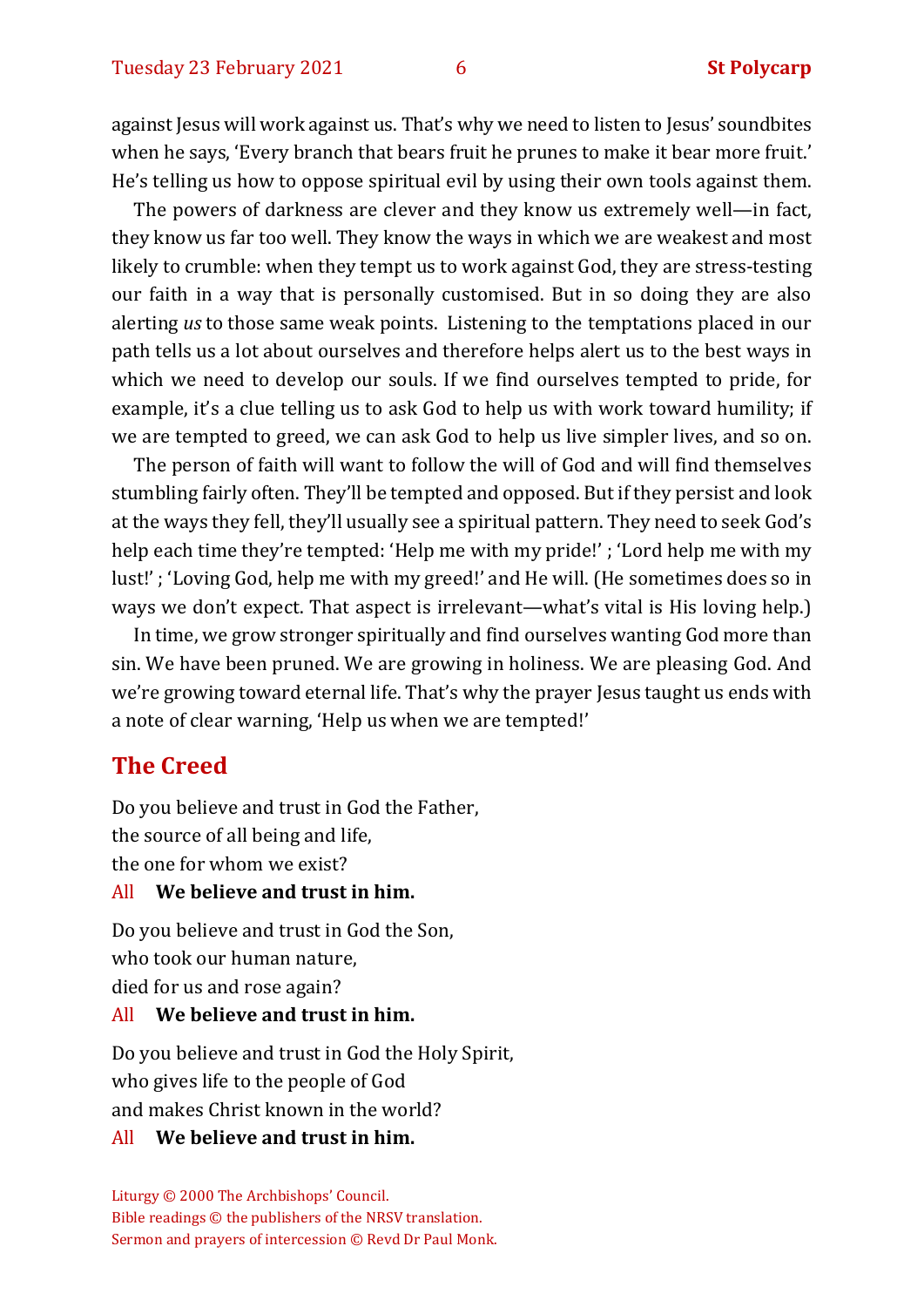against Jesus will work against us. That's why we need to listen to Jesus' soundbites when he says, 'Every branch that bears fruit he prunes to make it bear more fruit.' He's telling us how to oppose spiritual evil by using their own tools against them.

The powers of darkness are clever and they know us extremely well—in fact, they know us far too well. They know the ways in which we are weakest and most likely to crumble: when they tempt us to work against God, they are stress-testing our faith in a way that is personally customised. But in so doing they are also alerting *us* to those same weak points. Listening to the temptations placed in our path tells us a lot about ourselves and therefore helps alert us to the best ways in which we need to develop our souls. If we find ourselves tempted to pride, for example, it's a clue telling us to ask God to help us with work toward humility; if we are tempted to greed, we can ask God to help us live simpler lives, and so on.

The person of faith will want to follow the will of God and will find themselves stumbling fairly often. They'll be tempted and opposed. But if they persist and look at the ways they fell, they'll usually see a spiritual pattern. They need to seek God's help each time they're tempted: 'Help me with my pride!' ; 'Lord help me with my lust!' ; 'Loving God, help me with my greed!' and He will. (He sometimes does so in ways we don't expect. That aspect is irrelevant—what's vital is His loving help.)

In time, we grow stronger spiritually and find ourselves wanting God more than sin. We have been pruned. We are growing in holiness. We are pleasing God. And we're growing toward eternal life. That's why the prayer Jesus taught us ends with a note of clear warning, 'Help us when we are tempted!'

#### **The Creed**

Do you believe and trust in God the Father, the source of all being and life, the one for whom we exist?

#### All **We believe and trust in him.**

Do you believe and trust in God the Son, who took our human nature, died for us and rose again?

#### All **We believe and trust in him.**

Do you believe and trust in God the Holy Spirit, who gives life to the people of God and makes Christ known in the world?

#### All **We believe and trust in him.**

Liturgy © 2000 The Archbishops' Council. Bible readings © the publishers of the NRSV translation. Sermon and prayers of intercession © Revd Dr Paul Monk.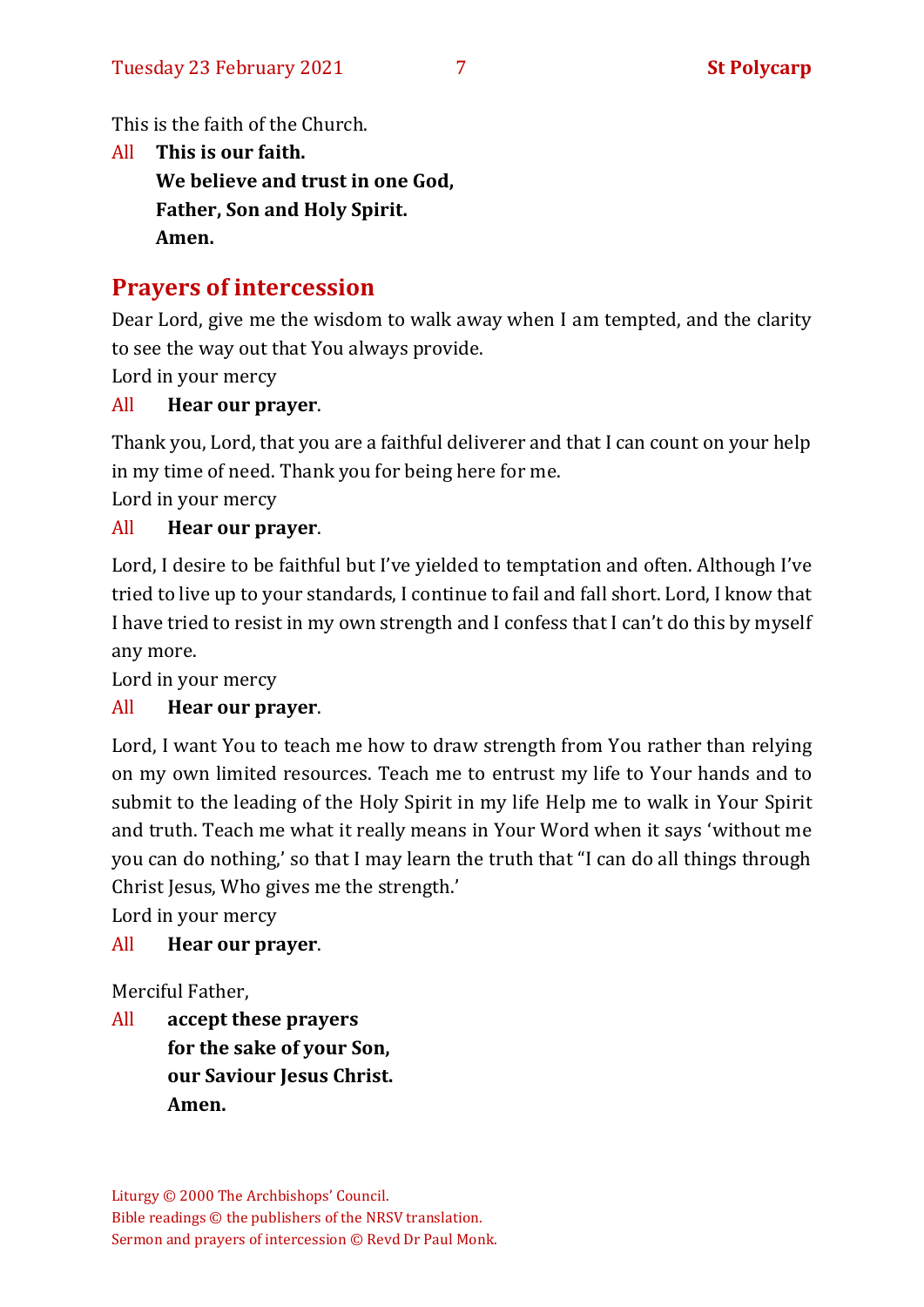This is the faith of the Church.

All **This is our faith. We believe and trust in one God, Father, Son and Holy Spirit. Amen.**

# **Prayers of intercession**

Dear Lord, give me the wisdom to walk away when I am tempted, and the clarity to see the way out that You always provide.

Lord in your mercy

#### All **Hear our prayer**.

Thank you, Lord, that you are a faithful deliverer and that I can count on your help in my time of need. Thank you for being here for me.

Lord in your mercy

#### All **Hear our prayer**.

Lord, I desire to be faithful but I've yielded to temptation and often. Although I've tried to live up to your standards, I continue to fail and fall short. Lord, I know that I have tried to resist in my own strength and I confess that I can't do this by myself any more.

Lord in your mercy

#### All **Hear our prayer**.

Lord, I want You to teach me how to draw strength from You rather than relying on my own limited resources. Teach me to entrust my life to Your hands and to submit to the leading of the Holy Spirit in my life Help me to walk in Your Spirit and truth. Teach me what it really means in Your Word when it says 'without me you can do nothing,' so that I may learn the truth that "I can do all things through Christ Jesus, Who gives me the strength.'

Lord in your mercy

#### All **Hear our prayer**.

Merciful Father,

All **accept these prayers for the sake of your Son, our Saviour Jesus Christ. Amen.**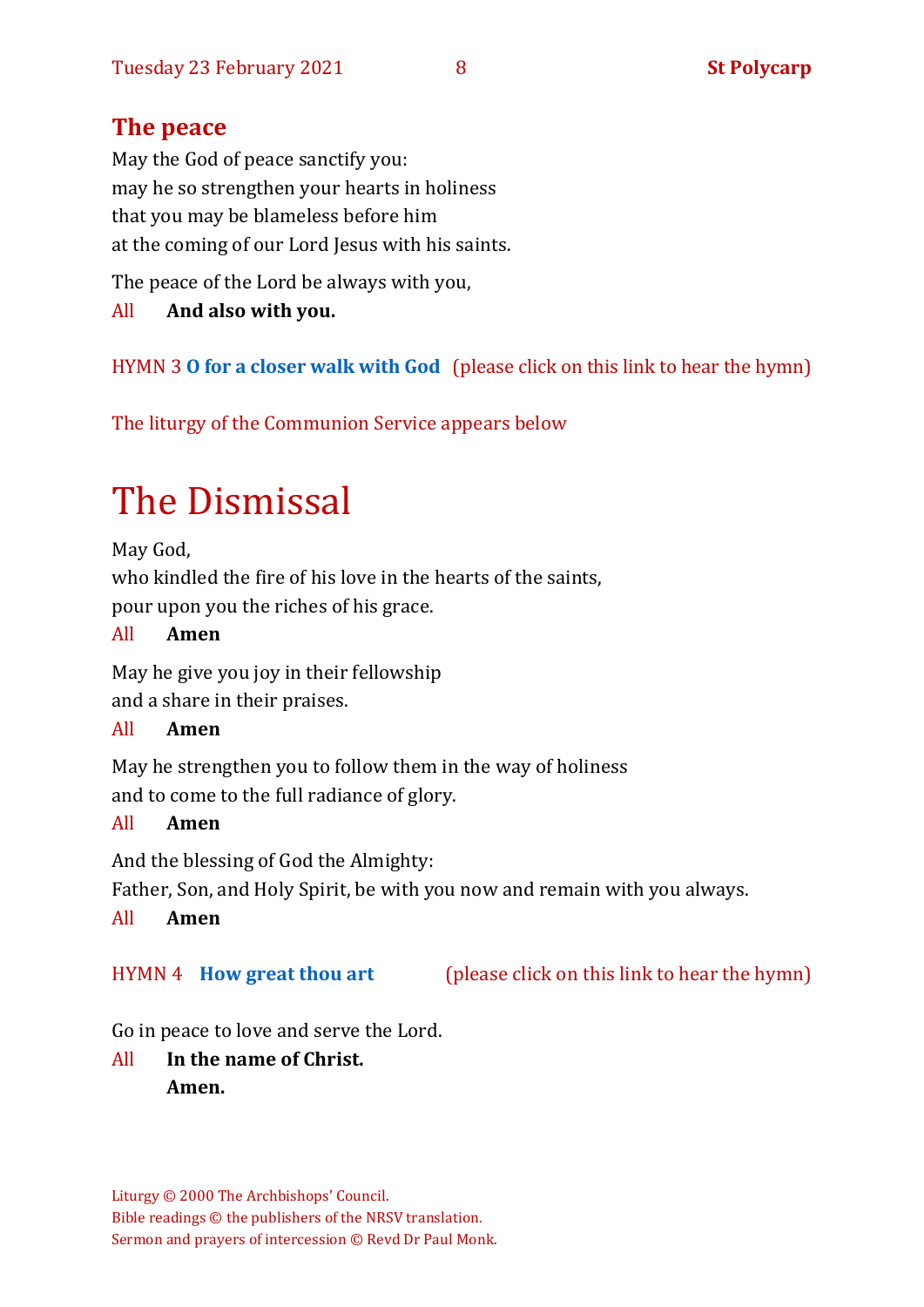# **The peace**

May the God of peace sanctify you: may he so strengthen your hearts in holiness that you may be blameless before him at the coming of our Lord Jesus with his saints.

The peace of the Lord be always with you,

All **And also with you.**

HYMN 3 **O [for a closer walk with God](https://www.youtube.com/watch?v=THv6sPbBRXc)** (please click on this link to hear the hymn)

The liturgy of the Communion Service appears below

# The Dismissal

May God, who kindled the fire of his love in the hearts of the saints, pour upon you the riches of his grace.

#### All **Amen**

May he give you joy in their fellowship and a share in their praises.

#### All **Amen**

May he strengthen you to follow them in the way of holiness and to come to the full radiance of glory.

#### All **Amen**

And the blessing of God the Almighty:

Father, Son, and Holy Spirit, be with you now and remain with you always.

#### All **Amen**

HYMN 4 **[How great thou art](https://www.youtube.com/watch?v=PdE_NKyY_o0)** (please click on this link to hear the hymn)

Go in peace to love and serve the Lord.

All **In the name of Christ. Amen.**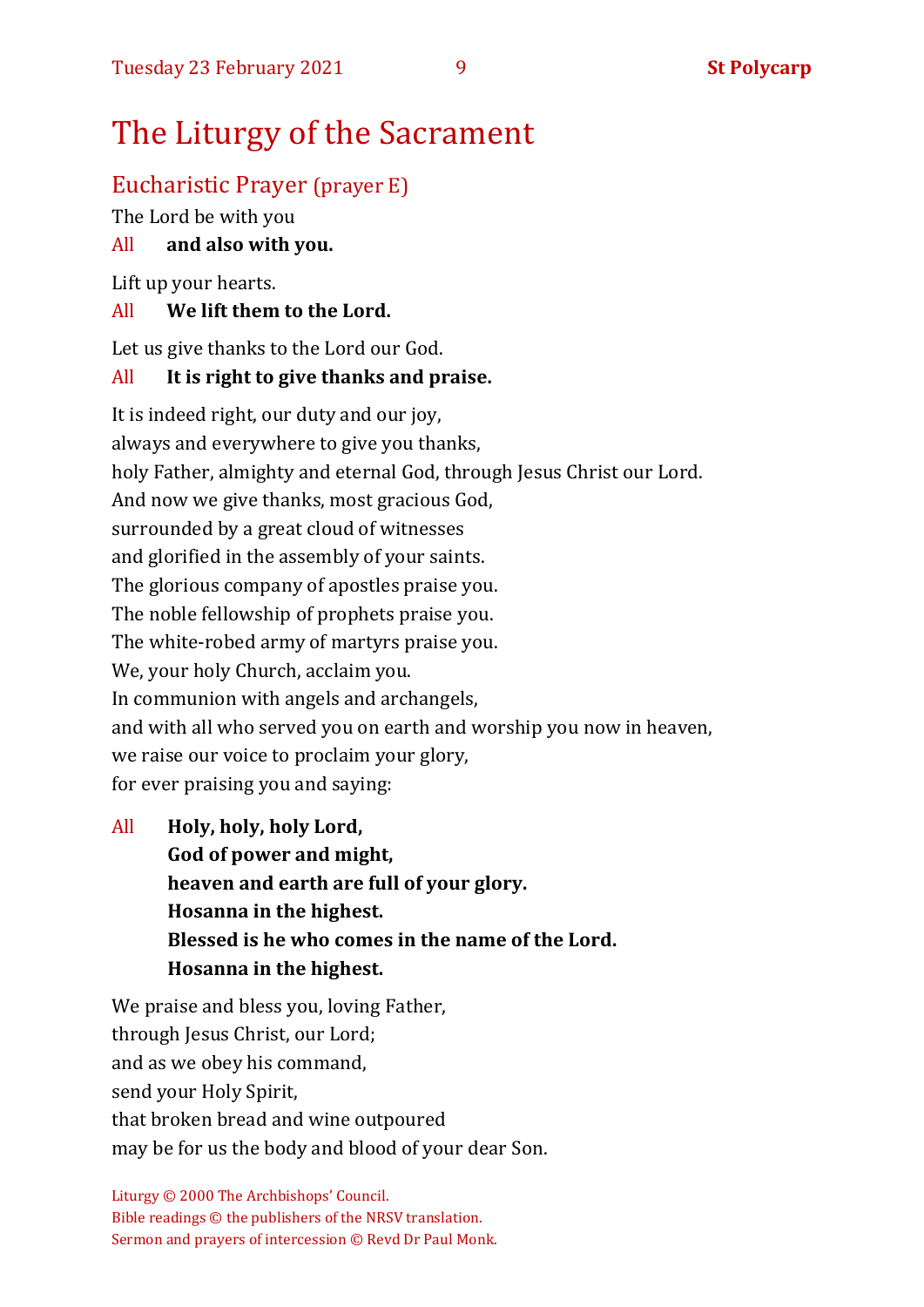# The Liturgy of the Sacrament

# Eucharistic Prayer (prayer E)

The Lord be with you

## All **and also with you.**

Lift up your hearts.

#### All **We lift them to the Lord.**

Let us give thanks to the Lord our God.

### All **It is right to give thanks and praise.**

It is indeed right, our duty and our joy, always and everywhere to give you thanks, holy Father, almighty and eternal God, through Jesus Christ our Lord. And now we give thanks, most gracious God, surrounded by a great cloud of witnesses and glorified in the assembly of your saints. The glorious company of apostles praise you. The noble fellowship of prophets praise you. The white-robed army of martyrs praise you. We, your holy Church, acclaim you. In communion with angels and archangels, and with all who served you on earth and worship you now in heaven, we raise our voice to proclaim your glory, for ever praising you and saying:

All **Holy, holy, holy Lord, God of power and might, heaven and earth are full of your glory. Hosanna in the highest. Blessed is he who comes in the name of the Lord. Hosanna in the highest.**

We praise and bless you, loving Father, through Jesus Christ, our Lord; and as we obey his command, send your Holy Spirit, that broken bread and wine outpoured may be for us the body and blood of your dear Son.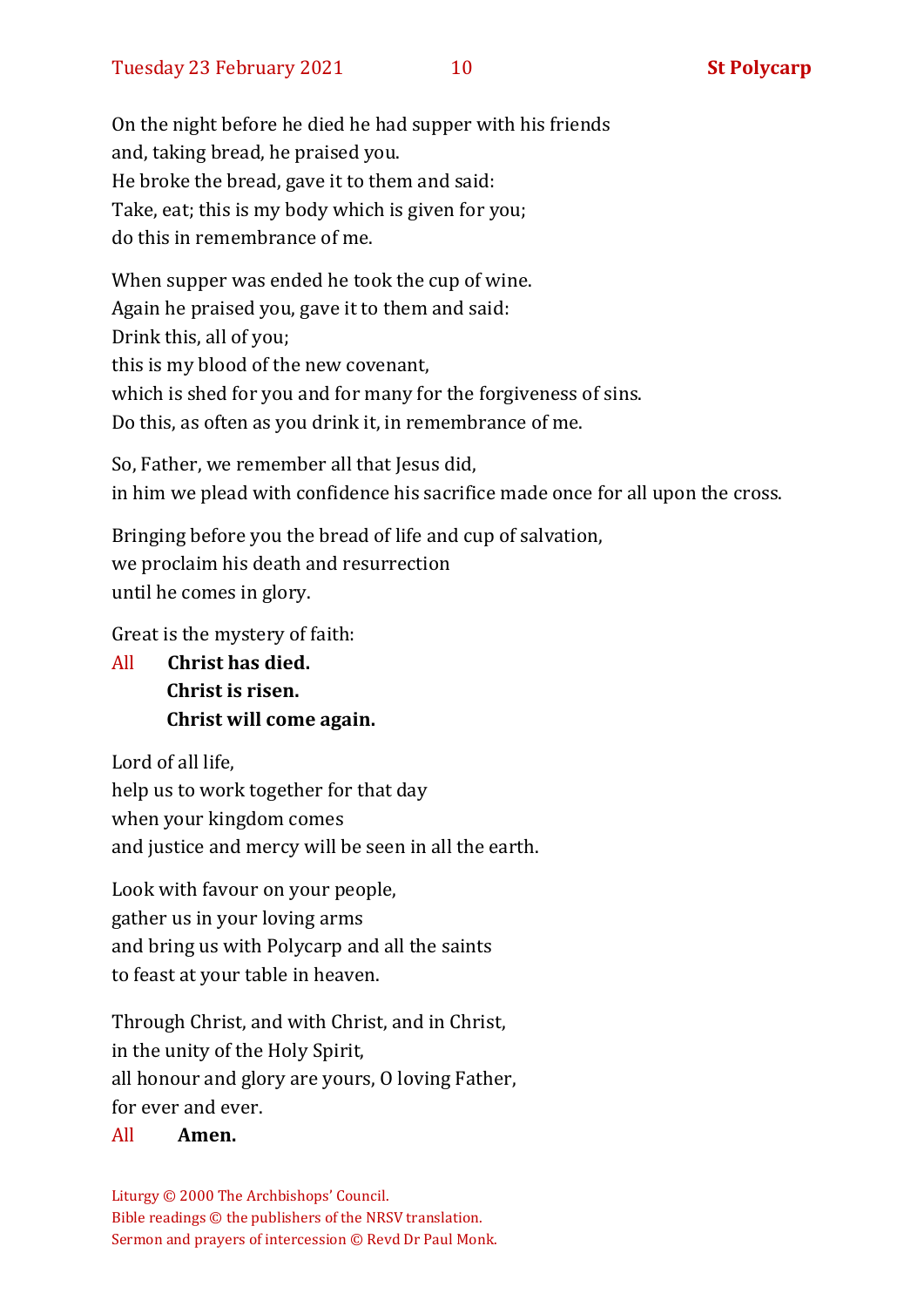On the night before he died he had supper with his friends and, taking bread, he praised you. He broke the bread, gave it to them and said: Take, eat; this is my body which is given for you; do this in remembrance of me.

When supper was ended he took the cup of wine. Again he praised you, gave it to them and said: Drink this, all of you; this is my blood of the new covenant, which is shed for you and for many for the forgiveness of sins. Do this, as often as you drink it, in remembrance of me.

So, Father, we remember all that Jesus did, in him we plead with confidence his sacrifice made once for all upon the cross.

Bringing before you the bread of life and cup of salvation, we proclaim his death and resurrection until he comes in glory.

Great is the mystery of faith:

All **Christ has died. Christ is risen. Christ will come again.**

Lord of all life, help us to work together for that day when your kingdom comes and justice and mercy will be seen in all the earth.

Look with favour on your people, gather us in your loving arms and bring us with Polycarp and all the saints to feast at your table in heaven.

Through Christ, and with Christ, and in Christ, in the unity of the Holy Spirit, all honour and glory are yours, O loving Father, for ever and ever.

#### All **Amen.**

Liturgy © 2000 The Archbishops' Council. Bible readings © the publishers of the NRSV translation. Sermon and prayers of intercession © Revd Dr Paul Monk.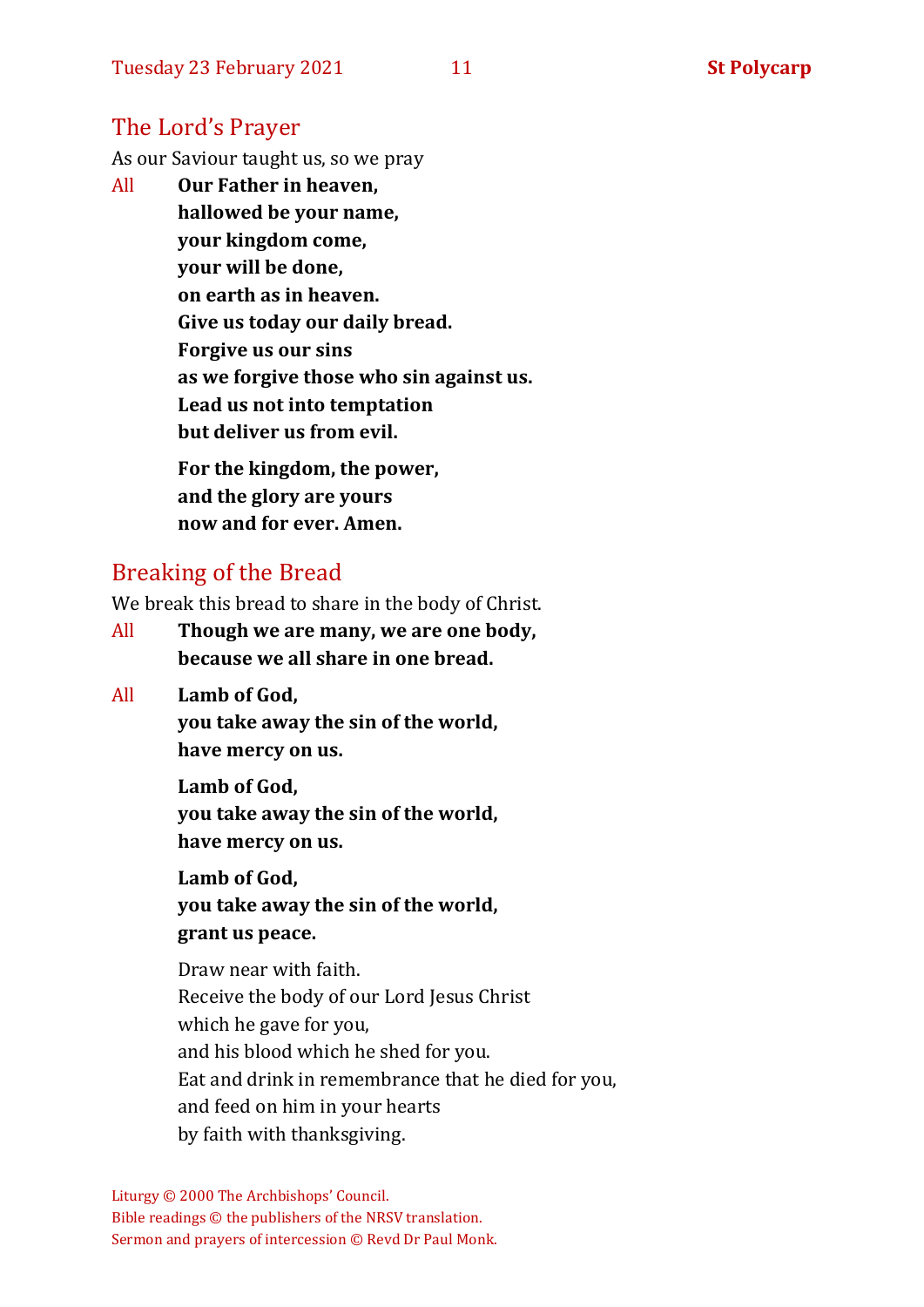# The Lord's Prayer

As our Saviour taught us, so we pray

All **Our Father in heaven, hallowed be your name, your kingdom come, your will be done, on earth as in heaven. Give us today our daily bread. Forgive us our sins as we forgive those who sin against us. Lead us not into temptation but deliver us from evil. For the kingdom, the power,** 

**and the glory are yours now and for ever. Amen.**

# Breaking of the Bread

We break this bread to share in the body of Christ.

- All **Though we are many, we are one body, because we all share in one bread.**
- All **Lamb of God,**

**you take away the sin of the world, have mercy on us.**

**Lamb of God,** 

**you take away the sin of the world, have mercy on us.**

**Lamb of God,** 

**you take away the sin of the world, grant us peace.**

Draw near with faith. Receive the body of our Lord Jesus Christ which he gave for you, and his blood which he shed for you. Eat and drink in remembrance that he died for you, and feed on him in your hearts by faith with thanksgiving.